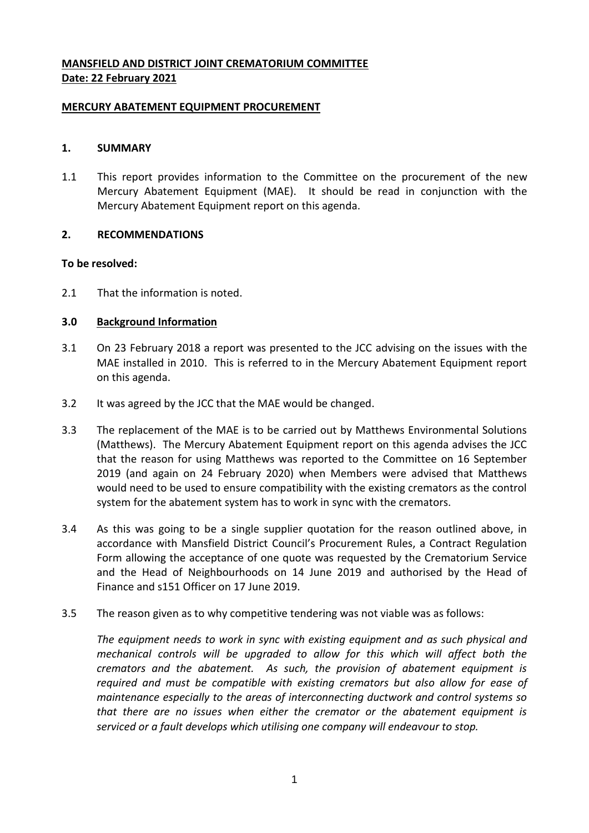# **MANSFIELD AND DISTRICT JOINT CREMATORIUM COMMITTEE Date: 22 February 2021**

#### **MERCURY ABATEMENT EQUIPMENT PROCUREMENT**

### **1. SUMMARY**

1.1 This report provides information to the Committee on the procurement of the new Mercury Abatement Equipment (MAE). It should be read in conjunction with the Mercury Abatement Equipment report on this agenda.

### **2. RECOMMENDATIONS**

### **To be resolved:**

2.1 That the information is noted.

### **3.0 Background Information**

- 3.1 On 23 February 2018 a report was presented to the JCC advising on the issues with the MAE installed in 2010. This is referred to in the Mercury Abatement Equipment report on this agenda.
- 3.2 It was agreed by the JCC that the MAE would be changed.
- 3.3 The replacement of the MAE is to be carried out by Matthews Environmental Solutions (Matthews). The Mercury Abatement Equipment report on this agenda advises the JCC that the reason for using Matthews was reported to the Committee on 16 September 2019 (and again on 24 February 2020) when Members were advised that Matthews would need to be used to ensure compatibility with the existing cremators as the control system for the abatement system has to work in sync with the cremators.
- 3.4 As this was going to be a single supplier quotation for the reason outlined above, in accordance with Mansfield District Council's Procurement Rules, a Contract Regulation Form allowing the acceptance of one quote was requested by the Crematorium Service and the Head of Neighbourhoods on 14 June 2019 and authorised by the Head of Finance and s151 Officer on 17 June 2019.
- 3.5 The reason given as to why competitive tendering was not viable was as follows:

*The equipment needs to work in sync with existing equipment and as such physical and mechanical controls will be upgraded to allow for this which will affect both the cremators and the abatement. As such, the provision of abatement equipment is required and must be compatible with existing cremators but also allow for ease of maintenance especially to the areas of interconnecting ductwork and control systems so that there are no issues when either the cremator or the abatement equipment is serviced or a fault develops which utilising one company will endeavour to stop.*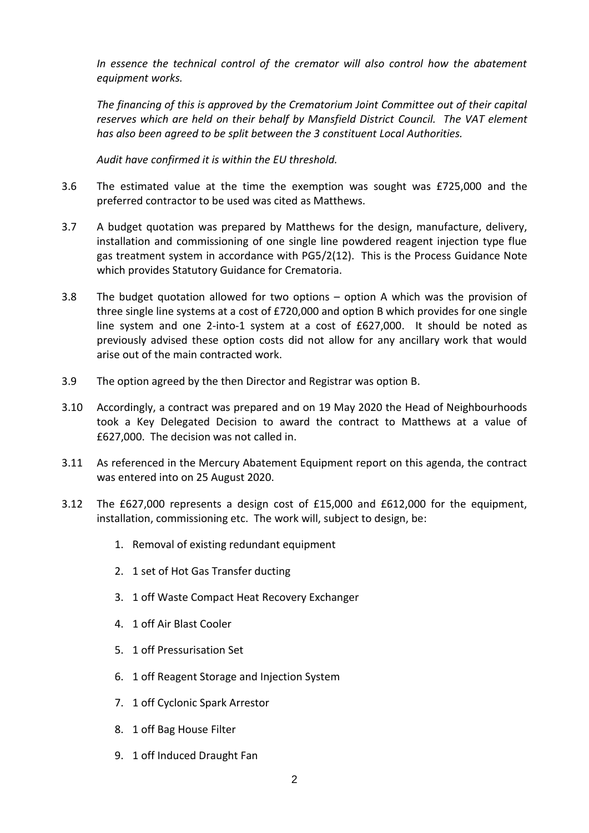*In essence the technical control of the cremator will also control how the abatement equipment works.*

*The financing of this is approved by the Crematorium Joint Committee out of their capital reserves which are held on their behalf by Mansfield District Council. The VAT element has also been agreed to be split between the 3 constituent Local Authorities.*

*Audit have confirmed it is within the EU threshold.*

- 3.6 The estimated value at the time the exemption was sought was £725,000 and the preferred contractor to be used was cited as Matthews.
- 3.7 A budget quotation was prepared by Matthews for the design, manufacture, delivery, installation and commissioning of one single line powdered reagent injection type flue gas treatment system in accordance with PG5/2(12). This is the Process Guidance Note which provides Statutory Guidance for Crematoria.
- 3.8 The budget quotation allowed for two options option A which was the provision of three single line systems at a cost of £720,000 and option B which provides for one single line system and one 2-into-1 system at a cost of £627,000. It should be noted as previously advised these option costs did not allow for any ancillary work that would arise out of the main contracted work.
- 3.9 The option agreed by the then Director and Registrar was option B.
- 3.10 Accordingly, a contract was prepared and on 19 May 2020 the Head of Neighbourhoods took a Key Delegated Decision to award the contract to Matthews at a value of £627,000. The decision was not called in.
- 3.11 As referenced in the Mercury Abatement Equipment report on this agenda, the contract was entered into on 25 August 2020.
- 3.12 The £627,000 represents a design cost of £15,000 and £612,000 for the equipment, installation, commissioning etc. The work will, subject to design, be:
	- 1. Removal of existing redundant equipment
	- 2. 1 set of Hot Gas Transfer ducting
	- 3. 1 off Waste Compact Heat Recovery Exchanger
	- 4. 1 off Air Blast Cooler
	- 5. 1 off Pressurisation Set
	- 6. 1 off Reagent Storage and Injection System
	- 7. 1 off Cyclonic Spark Arrestor
	- 8. 1 off Bag House Filter
	- 9. 1 off Induced Draught Fan